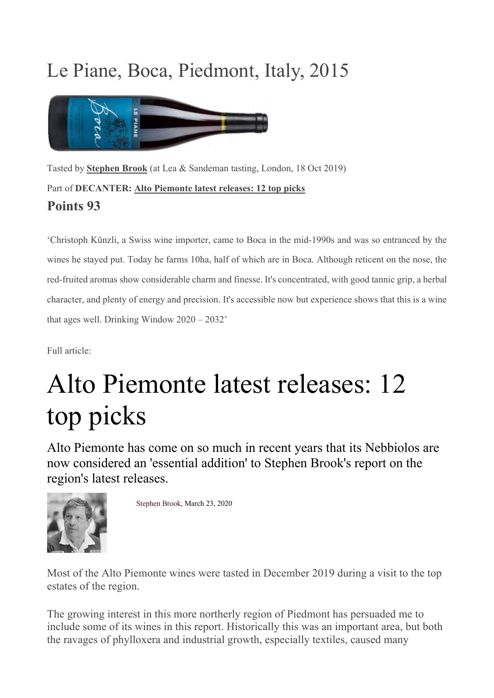## Le Piane, Boca, Piedmont, Italy, 2015



Tasted by **Stephen Brook** (at Lea & Sandeman tasting, London, 18 Oct 2019) Part of **DECANTER: Alto Piemonte latest releases: 12 top picks Points 93**

'Christoph Künzli, a Swiss wine importer, came to Boca in the mid-1990s and was so entranced by the wines he stayed put. Today he farms 10ha, half of which are in Boca. Although reticent on the nose, the red-fruited aromas show considerable charm and finesse. It's concentrated, with good tannic grip, a herbal character, and plenty of energy and precision. It's accessible now but experience shows that this is a wine that ages well. Drinking Window 2020 – 2032'

Full article:

# Alto Piemonte latest releases: 12 top picks

Alto Piemonte has come on so much in recent years that its Nebbiolos are now considered an 'essential addition' to Stephen Brook's report on the region's latest releases.



Stephen Brook, March 23, 2020

Most of the Alto Piemonte wines were tasted in December 2019 during a visit to the top estates of the region.

The growing interest in this more northerly region of Piedmont has persuaded me to include some of its wines in this report. Historically this was an important area, but both the ravages of phylloxera and industrial growth, especially textiles, caused many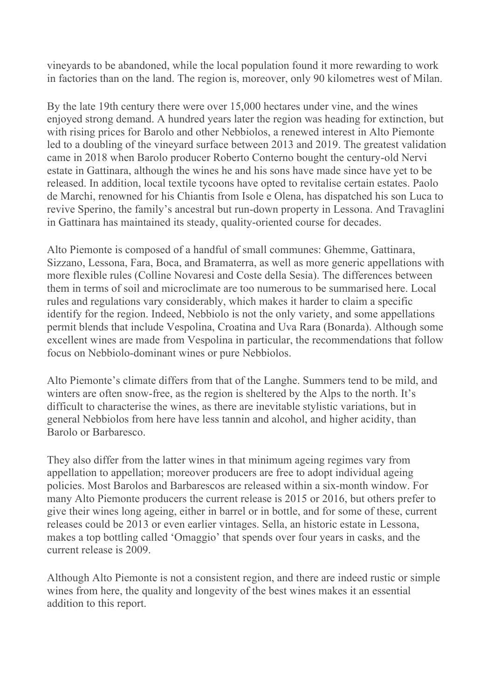vineyards to be abandoned, while the local population found it more rewarding to work in factories than on the land. The region is, moreover, only 90 kilometres west of Milan.

By the late 19th century there were over 15,000 hectares under vine, and the wines enjoyed strong demand. A hundred years later the region was heading for extinction, but with rising prices for Barolo and other Nebbiolos, a renewed interest in Alto Piemonte led to a doubling of the vineyard surface between 2013 and 2019. The greatest validation came in 2018 when Barolo producer Roberto Conterno bought the century-old Nervi estate in Gattinara, although the wines he and his sons have made since have yet to be released. In addition, local textile tycoons have opted to revitalise certain estates. Paolo de Marchi, renowned for his Chiantis from Isole e Olena, has dispatched his son Luca to revive Sperino, the family's ancestral but run-down property in Lessona. And Travaglini in Gattinara has maintained its steady, quality-oriented course for decades.

Alto Piemonte is composed of a handful of small communes: Ghemme, Gattinara, Sizzano, Lessona, Fara, Boca, and Bramaterra, as well as more generic appellations with more flexible rules (Colline Novaresi and Coste della Sesia). The differences between them in terms of soil and microclimate are too numerous to be summarised here. Local rules and regulations vary considerably, which makes it harder to claim a specific identify for the region. Indeed, Nebbiolo is not the only variety, and some appellations permit blends that include Vespolina, Croatina and Uva Rara (Bonarda). Although some excellent wines are made from Vespolina in particular, the recommendations that follow focus on Nebbiolo-dominant wines or pure Nebbiolos.

Alto Piemonte's climate differs from that of the Langhe. Summers tend to be mild, and winters are often snow-free, as the region is sheltered by the Alps to the north. It's difficult to characterise the wines, as there are inevitable stylistic variations, but in general Nebbiolos from here have less tannin and alcohol, and higher acidity, than Barolo or Barbaresco.

They also differ from the latter wines in that minimum ageing regimes vary from appellation to appellation; moreover producers are free to adopt individual ageing policies. Most Barolos and Barbarescos are released within a six-month window. For many Alto Piemonte producers the current release is 2015 or 2016, but others prefer to give their wines long ageing, either in barrel or in bottle, and for some of these, current releases could be 2013 or even earlier vintages. Sella, an historic estate in Lessona, makes a top bottling called 'Omaggio' that spends over four years in casks, and the current release is 2009.

Although Alto Piemonte is not a consistent region, and there are indeed rustic or simple wines from here, the quality and longevity of the best wines makes it an essential addition to this report.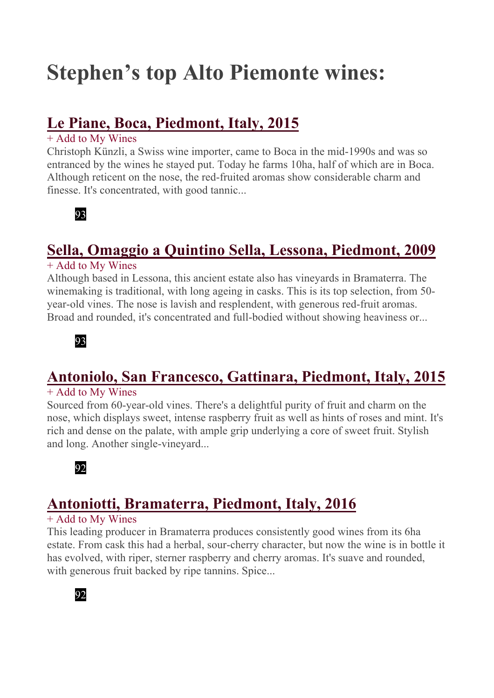## **Stephen's top Alto Piemonte wines:**

## **Le Piane, Boca, Piedmont, Italy, 2015**

#### + Add to My Wines

Christoph Künzli, a Swiss wine importer, came to Boca in the mid-1990s and was so entranced by the wines he stayed put. Today he farms 10ha, half of which are in Boca. Although reticent on the nose, the red-fruited aromas show considerable charm and finesse. It's concentrated, with good tannic...



## **Sella, Omaggio a Quintino Sella, Lessona, Piedmont, 2009**

#### + Add to My Wines

Although based in Lessona, this ancient estate also has vineyards in Bramaterra. The winemaking is traditional, with long ageing in casks. This is its top selection, from 50 year-old vines. The nose is lavish and resplendent, with generous red-fruit aromas. Broad and rounded, it's concentrated and full-bodied without showing heaviness or...



## **Antoniolo, San Francesco, Gattinara, Piedmont, Italy, 2015**

#### + Add to My Wines

Sourced from 60-year-old vines. There's a delightful purity of fruit and charm on the nose, which displays sweet, intense raspberry fruit as well as hints of roses and mint. It's rich and dense on the palate, with ample grip underlying a core of sweet fruit. Stylish and long. Another single-vineyard...



## **Antoniotti, Bramaterra, Piedmont, Italy, 2016**

#### + Add to My Wines

This leading producer in Bramaterra produces consistently good wines from its 6ha estate. From cask this had a herbal, sour-cherry character, but now the wine is in bottle it has evolved, with riper, sterner raspberry and cherry aromas. It's suave and rounded, with generous fruit backed by ripe tannins. Spice...

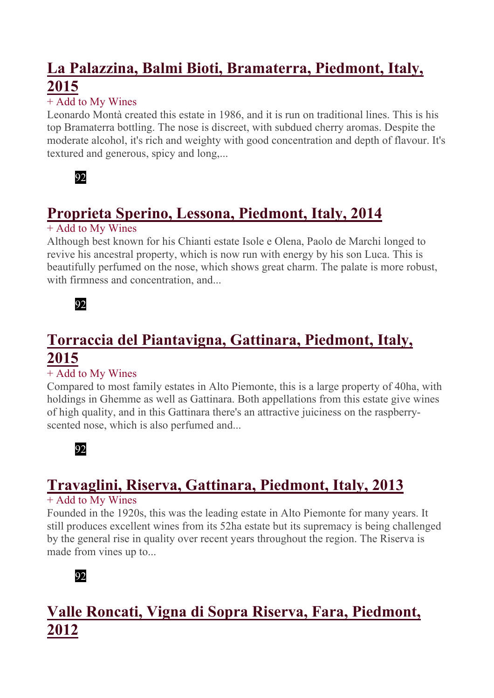## **La Palazzina, Balmi Bioti, Bramaterra, Piedmont, Italy, 2015**

#### + Add to My Wines

Leonardo Montà created this estate in 1986, and it is run on traditional lines. This is his top Bramaterra bottling. The nose is discreet, with subdued cherry aromas. Despite the moderate alcohol, it's rich and weighty with good concentration and depth of flavour. It's textured and generous, spicy and long,...



## **Proprieta Sperino, Lessona, Piedmont, Italy, 2014**

#### + Add to My Wines

Although best known for his Chianti estate Isole e Olena, Paolo de Marchi longed to revive his ancestral property, which is now run with energy by his son Luca. This is beautifully perfumed on the nose, which shows great charm. The palate is more robust, with firmness and concentration, and...



## **Torraccia del Piantavigna, Gattinara, Piedmont, Italy, 2015**

#### + Add to My Wines

Compared to most family estates in Alto Piemonte, this is a large property of 40ha, with holdings in Ghemme as well as Gattinara. Both appellations from this estate give wines of high quality, and in this Gattinara there's an attractive juiciness on the raspberryscented nose, which is also perfumed and...



## **Travaglini, Riserva, Gattinara, Piedmont, Italy, 2013**

#### + Add to My Wines

Founded in the 1920s, this was the leading estate in Alto Piemonte for many years. It still produces excellent wines from its 52ha estate but its supremacy is being challenged by the general rise in quality over recent years throughout the region. The Riserva is made from vines up to...



## **Valle Roncati, Vigna di Sopra Riserva, Fara, Piedmont, 2012**